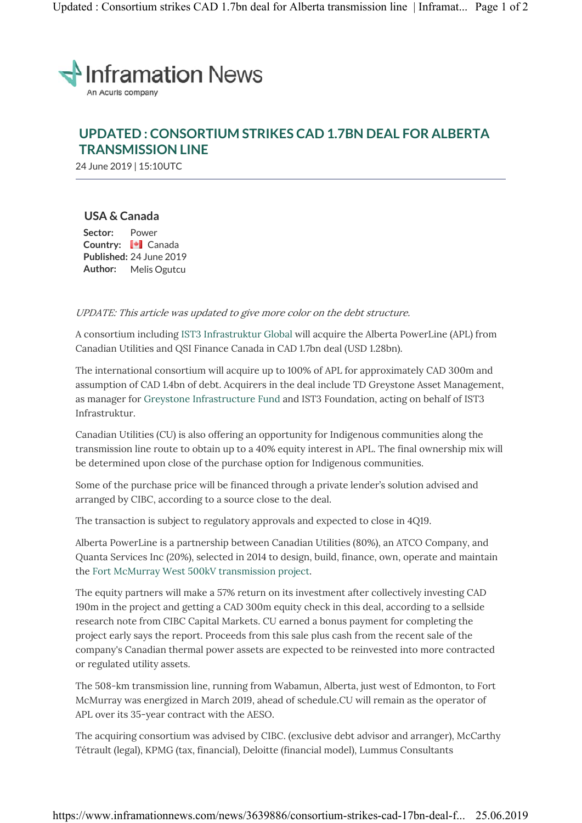

# **UPDATED : CONSORTIUM STRIKES CAD 1.7BN DEAL FOR ALBERTA TRANSMISSION LINE**

24 June 2019 | 15:10UTC

## **USA & Canada**

**Sector:** Power **Country:** Canada **Published:** 24 June 2019 **Author:** Melis Ogutcu

#### UPDATE: This article was updated to give more color on the debt structure.

A consortium including IST3 Infrastruktur Global will acquire the Alberta PowerLine (APL) from Canadian Utilities and QSI Finance Canada in CAD 1.7bn deal (USD 1.28bn).

The international consortium will acquire up to 100% of APL for approximately CAD 300m and assumption of CAD 1.4bn of debt. Acquirers in the deal include TD Greystone Asset Management, as manager for Greystone Infrastructure Fund and IST3 Foundation, acting on behalf of IST3 Infrastruktur.

Canadian Utilities (CU) is also offering an opportunity for Indigenous communities along the transmission line route to obtain up to a 40% equity interest in APL. The final ownership mix will be determined upon close of the purchase option for Indigenous communities.

Some of the purchase price will be financed through a private lender's solution advised and arranged by CIBC, according to a source close to the deal.

The transaction is subject to regulatory approvals and expected to close in 4Q19.

Alberta PowerLine is a partnership between Canadian Utilities (80%), an ATCO Company, and Quanta Services Inc (20%), selected in 2014 to design, build, finance, own, operate and maintain the Fort McMurray West 500kV transmission project.

The equity partners will make a 57% return on its investment after collectively investing CAD 190m in the project and getting a CAD 300m equity check in this deal, according to a sellside research note from CIBC Capital Markets. CU earned a bonus payment for completing the project early says the report. Proceeds from this sale plus cash from the recent sale of the company's Canadian thermal power assets are expected to be reinvested into more contracted or regulated utility assets.

The 508-km transmission line, running from Wabamun, Alberta, just west of Edmonton, to Fort McMurray was energized in March 2019, ahead of schedule.CU will remain as the operator of APL over its 35-year contract with the AESO.

The acquiring consortium was advised by CIBC. (exclusive debt advisor and arranger), McCarthy Tétrault (legal), KPMG (tax, financial), Deloitte (financial model), Lummus Consultants